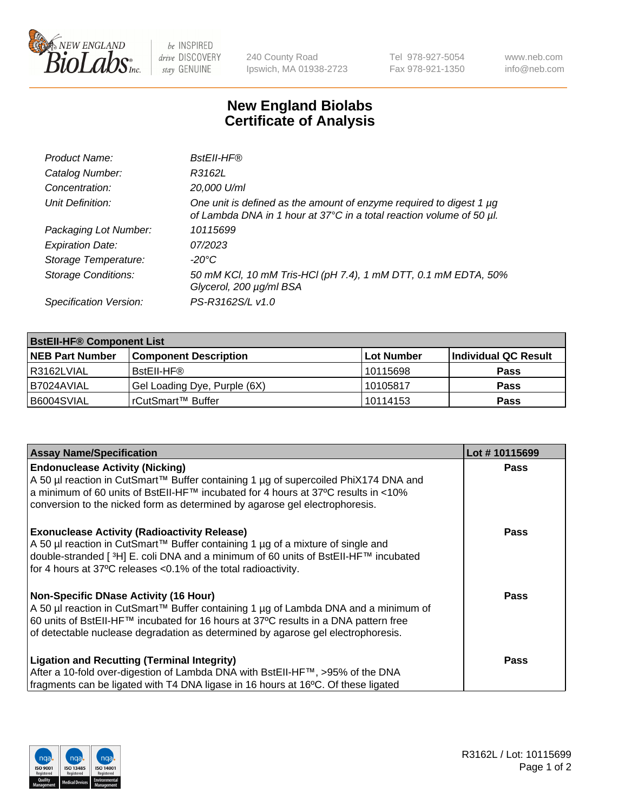

be INSPIRED drive DISCOVERY stay GENUINE

240 County Road Ipswich, MA 01938-2723 Tel 978-927-5054 Fax 978-921-1350 www.neb.com info@neb.com

## **New England Biolabs Certificate of Analysis**

| Product Name:              | BstEll-HF®                                                                                                                                       |
|----------------------------|--------------------------------------------------------------------------------------------------------------------------------------------------|
| Catalog Number:            | R3162L                                                                                                                                           |
| Concentration:             | 20,000 U/ml                                                                                                                                      |
| Unit Definition:           | One unit is defined as the amount of enzyme required to digest 1 $\mu$ g<br>of Lambda DNA in 1 hour at 37°C in a total reaction volume of 50 µl. |
| Packaging Lot Number:      | 10115699                                                                                                                                         |
| <b>Expiration Date:</b>    | 07/2023                                                                                                                                          |
| Storage Temperature:       | -20°C                                                                                                                                            |
| <b>Storage Conditions:</b> | 50 mM KCl, 10 mM Tris-HCl (pH 7.4), 1 mM DTT, 0.1 mM EDTA, 50%<br>Glycerol, 200 µg/ml BSA                                                        |
| Specification Version:     | PS-R3162S/L v1.0                                                                                                                                 |

| <b>BstEll-HF® Component List</b> |                              |            |                      |  |  |
|----------------------------------|------------------------------|------------|----------------------|--|--|
| <b>NEB Part Number</b>           | <b>Component Description</b> | Lot Number | Individual QC Result |  |  |
| l R3162LVIAL                     | BstEll-HF®                   | 10115698   | <b>Pass</b>          |  |  |
| I B7024AVIAL                     | Gel Loading Dye, Purple (6X) | 10105817   | <b>Pass</b>          |  |  |
| B6004SVIAL                       | l rCutSmart™ Buffer          | 10114153   | <b>Pass</b>          |  |  |

| <b>Assay Name/Specification</b>                                                                 | Lot #10115699 |
|-------------------------------------------------------------------------------------------------|---------------|
| <b>Endonuclease Activity (Nicking)</b>                                                          | <b>Pass</b>   |
| A 50 µl reaction in CutSmart™ Buffer containing 1 µg of supercoiled PhiX174 DNA and             |               |
| a minimum of 60 units of BstEII-HF™ incubated for 4 hours at 37°C results in <10%               |               |
| conversion to the nicked form as determined by agarose gel electrophoresis.                     |               |
| <b>Exonuclease Activity (Radioactivity Release)</b>                                             | Pass          |
| A 50 µl reaction in CutSmart™ Buffer containing 1 µg of a mixture of single and                 |               |
| double-stranded [ <sup>3</sup> H] E. coli DNA and a minimum of 60 units of BstEII-HF™ incubated |               |
| for 4 hours at 37°C releases <0.1% of the total radioactivity.                                  |               |
| Non-Specific DNase Activity (16 Hour)                                                           | Pass          |
| A 50 µl reaction in CutSmart™ Buffer containing 1 µg of Lambda DNA and a minimum of             |               |
| 60 units of BstEll-HF™ incubated for 16 hours at 37°C results in a DNA pattern free             |               |
| of detectable nuclease degradation as determined by agarose gel electrophoresis.                |               |
| <b>Ligation and Recutting (Terminal Integrity)</b>                                              | Pass          |
| After a 10-fold over-digestion of Lambda DNA with BstEII-HF™, >95% of the DNA                   |               |
| fragments can be ligated with T4 DNA ligase in 16 hours at 16°C. Of these ligated               |               |